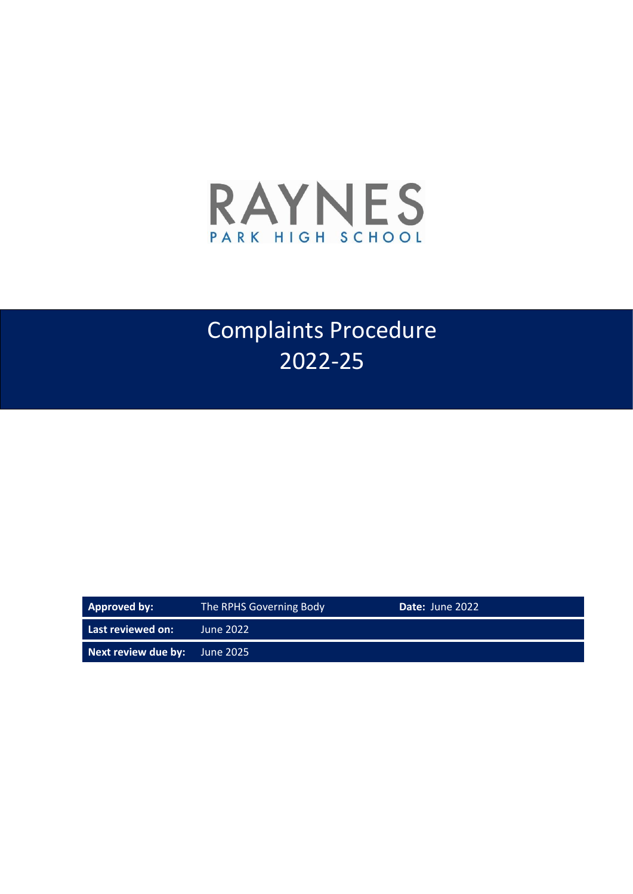

# Complaints Procedure 2022-25

| <b>Approved by:</b>           | The RPHS Governing Body | Date: June 2022 |  |
|-------------------------------|-------------------------|-----------------|--|
| Last reviewed on: '           | June 2022               |                 |  |
| Next review due by: June 2025 |                         |                 |  |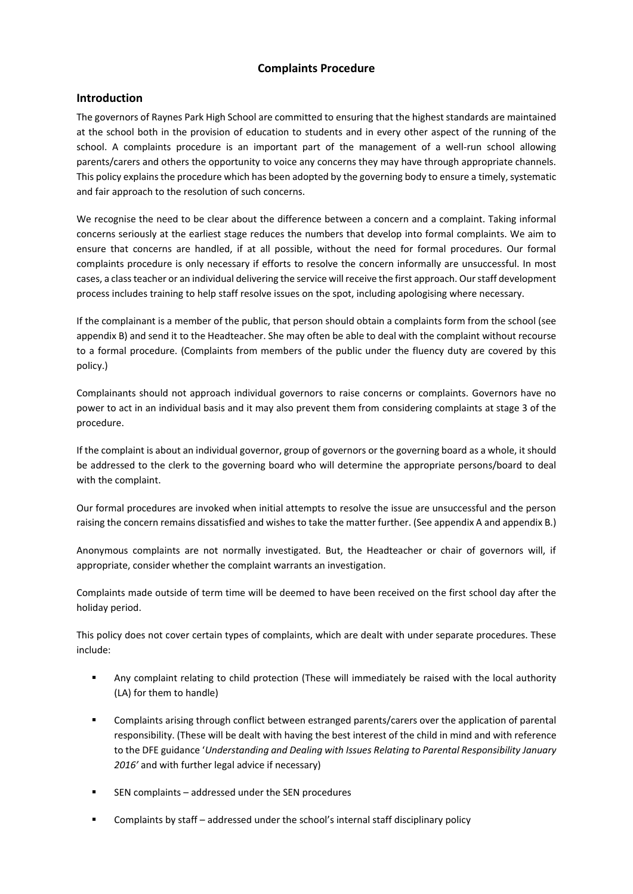# **Complaints Procedure**

# **Introduction**

The governors of Raynes Park High School are committed to ensuring that the highest standards are maintained at the school both in the provision of education to students and in every other aspect of the running of the school. A complaints procedure is an important part of the management of a well-run school allowing parents/carers and others the opportunity to voice any concerns they may have through appropriate channels. This policy explains the procedure which has been adopted by the governing body to ensure a timely, systematic and fair approach to the resolution of such concerns.

We recognise the need to be clear about the difference between a concern and a complaint. Taking informal concerns seriously at the earliest stage reduces the numbers that develop into formal complaints. We aim to ensure that concerns are handled, if at all possible, without the need for formal procedures. Our formal complaints procedure is only necessary if efforts to resolve the concern informally are unsuccessful. In most cases, a class teacher or an individual delivering the service will receive the first approach. Our staff development process includes training to help staff resolve issues on the spot, including apologising where necessary.

If the complainant is a member of the public, that person should obtain a complaints form from the school (see appendix B) and send it to the Headteacher. She may often be able to deal with the complaint without recourse to a formal procedure. (Complaints from members of the public under the fluency duty are covered by this policy.)

Complainants should not approach individual governors to raise concerns or complaints. Governors have no power to act in an individual basis and it may also prevent them from considering complaints at stage 3 of the procedure.

If the complaint is about an individual governor, group of governors or the governing board as a whole, it should be addressed to the clerk to the governing board who will determine the appropriate persons/board to deal with the complaint.

Our formal procedures are invoked when initial attempts to resolve the issue are unsuccessful and the person raising the concern remains dissatisfied and wishes to take the matter further. (See appendix A and appendix B.)

Anonymous complaints are not normally investigated. But, the Headteacher or chair of governors will, if appropriate, consider whether the complaint warrants an investigation.

Complaints made outside of term time will be deemed to have been received on the first school day after the holiday period.

This policy does not cover certain types of complaints, which are dealt with under separate procedures. These include:

- Any complaint relating to child protection (These will immediately be raised with the local authority (LA) for them to handle)
- Complaints arising through conflict between estranged parents/carers over the application of parental responsibility. (These will be dealt with having the best interest of the child in mind and with reference to the DFE guidance '*Understanding and Dealing with Issues Relating to Parental Responsibility January 2016'* and with further legal advice if necessary)
- SEN complaints addressed under the SEN procedures
- Complaints by staff addressed under the school's internal staff disciplinary policy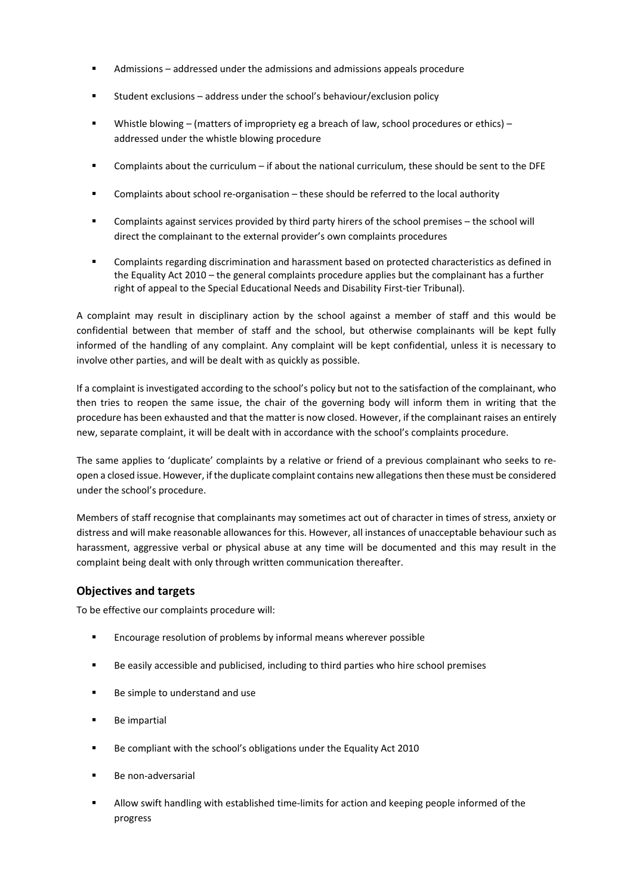- Admissions addressed under the admissions and admissions appeals procedure
- Student exclusions address under the school's behaviour/exclusion policy
- Whistle blowing (matters of impropriety eg a breach of law, school procedures or ethics) addressed under the whistle blowing procedure
- Complaints about the curriculum if about the national curriculum, these should be sent to the DFE
- Complaints about school re-organisation these should be referred to the local authority
- Complaints against services provided by third party hirers of the school premises the school will direct the complainant to the external provider's own complaints procedures
- Complaints regarding discrimination and harassment based on protected characteristics as defined in the Equality Act 2010 – the general complaints procedure applies but the complainant has a further right of appeal to the Special Educational Needs and Disability First-tier Tribunal).

A complaint may result in disciplinary action by the school against a member of staff and this would be confidential between that member of staff and the school, but otherwise complainants will be kept fully informed of the handling of any complaint. Any complaint will be kept confidential, unless it is necessary to involve other parties, and will be dealt with as quickly as possible.

If a complaint is investigated according to the school's policy but not to the satisfaction of the complainant, who then tries to reopen the same issue, the chair of the governing body will inform them in writing that the procedure has been exhausted and that the matter is now closed. However, if the complainant raises an entirely new, separate complaint, it will be dealt with in accordance with the school's complaints procedure.

The same applies to 'duplicate' complaints by a relative or friend of a previous complainant who seeks to reopen a closed issue. However, if the duplicate complaint contains new allegations then these must be considered under the school's procedure.

Members of staff recognise that complainants may sometimes act out of character in times of stress, anxiety or distress and will make reasonable allowances for this. However, all instances of unacceptable behaviour such as harassment, aggressive verbal or physical abuse at any time will be documented and this may result in the complaint being dealt with only through written communication thereafter.

# **Objectives and targets**

To be effective our complaints procedure will:

- Encourage resolution of problems by informal means wherever possible
- Be easily accessible and publicised, including to third parties who hire school premises
- Be simple to understand and use
- **Be impartial**
- Be compliant with the school's obligations under the Equality Act 2010
- Be non-adversarial
- Allow swift handling with established time-limits for action and keeping people informed of the progress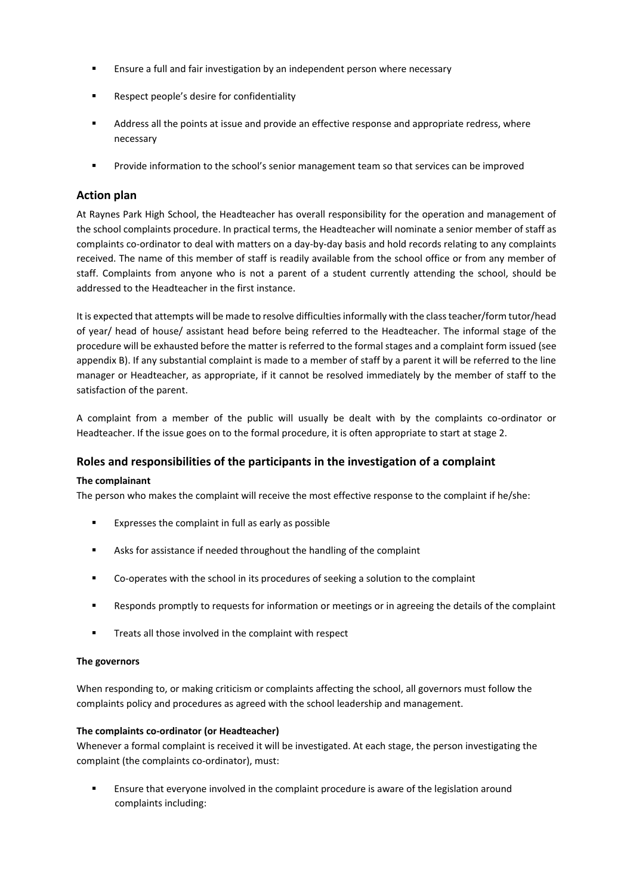- Ensure a full and fair investigation by an independent person where necessary
- Respect people's desire for confidentiality
- Address all the points at issue and provide an effective response and appropriate redress, where necessary
- Provide information to the school's senior management team so that services can be improved

# **Action plan**

At Raynes Park High School, the Headteacher has overall responsibility for the operation and management of the school complaints procedure. In practical terms, the Headteacher will nominate a senior member of staff as complaints co-ordinator to deal with matters on a day-by-day basis and hold records relating to any complaints received. The name of this member of staff is readily available from the school office or from any member of staff. Complaints from anyone who is not a parent of a student currently attending the school, should be addressed to the Headteacher in the first instance.

It is expected that attempts will be made to resolve difficulties informally with the class teacher/form tutor/head of year/ head of house/ assistant head before being referred to the Headteacher. The informal stage of the procedure will be exhausted before the matter is referred to the formal stages and a complaint form issued (see appendix B). If any substantial complaint is made to a member of staff by a parent it will be referred to the line manager or Headteacher, as appropriate, if it cannot be resolved immediately by the member of staff to the satisfaction of the parent.

A complaint from a member of the public will usually be dealt with by the complaints co-ordinator or Headteacher. If the issue goes on to the formal procedure, it is often appropriate to start at stage 2.

# **Roles and responsibilities of the participants in the investigation of a complaint**

# **The complainant**

The person who makes the complaint will receive the most effective response to the complaint if he/she:

- Expresses the complaint in full as early as possible
- Asks for assistance if needed throughout the handling of the complaint
- Co-operates with the school in its procedures of seeking a solution to the complaint
- Responds promptly to requests for information or meetings or in agreeing the details of the complaint
- **Treats all those involved in the complaint with respect**

# **The governors**

When responding to, or making criticism or complaints affecting the school, all governors must follow the complaints policy and procedures as agreed with the school leadership and management.

# **The complaints co-ordinator (or Headteacher)**

Whenever a formal complaint is received it will be investigated. At each stage, the person investigating the complaint (the complaints co-ordinator), must:

 Ensure that everyone involved in the complaint procedure is aware of the legislation around complaints including: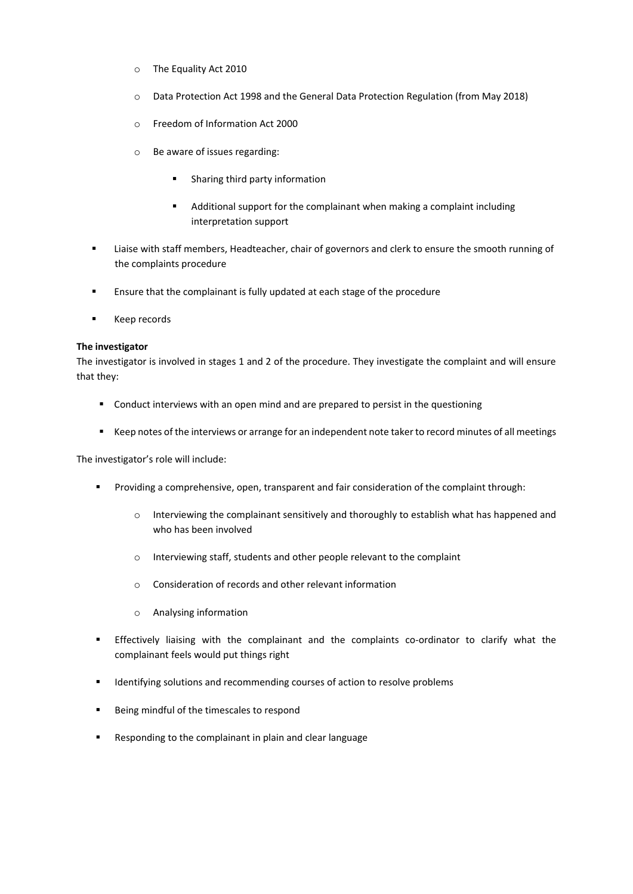- o The Equality Act 2010
- o Data Protection Act 1998 and the General Data Protection Regulation (from May 2018)
- o Freedom of Information Act 2000
- o Be aware of issues regarding:
	- **Sharing third party information**
	- Additional support for the complainant when making a complaint including interpretation support
- Liaise with staff members, Headteacher, chair of governors and clerk to ensure the smooth running of the complaints procedure
- **Ensure that the complainant is fully updated at each stage of the procedure**
- **Keep records**

#### **The investigator**

The investigator is involved in stages 1 and 2 of the procedure. They investigate the complaint and will ensure that they:

- Conduct interviews with an open mind and are prepared to persist in the questioning
- Keep notes of the interviews or arrange for an independent note taker to record minutes of all meetings

The investigator's role will include:

- **Providing a comprehensive, open, transparent and fair consideration of the complaint through:** 
	- $\circ$  Interviewing the complainant sensitively and thoroughly to establish what has happened and who has been involved
	- o Interviewing staff, students and other people relevant to the complaint
	- o Consideration of records and other relevant information
	- o Analysing information
- Effectively liaising with the complainant and the complaints co-ordinator to clarify what the complainant feels would put things right
- **IDENTIFY IDENTIFYING** Identifying solutions and recommending courses of action to resolve problems
- Being mindful of the timescales to respond
- Responding to the complainant in plain and clear language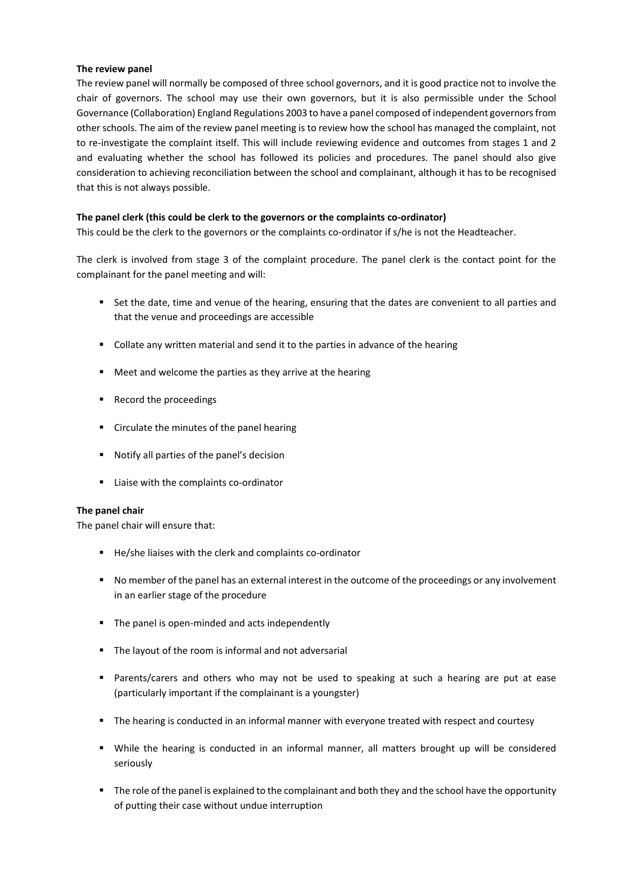#### **The review panel**

The review panel will normally be composed of three school governors, and it is good practice not to involve the chair of governors. The school may use their own governors, but it is also permissible under the School Governance (Collaboration) England Regulations 2003 to have a panel composed of independent governors from other schools. The aim of the review panel meeting is to review how the school has managed the complaint, not to re-investigate the complaint itself. This will include reviewing evidence and outcomes from stages 1 and 2 and evaluating whether the school has followed its policies and procedures. The panel should also give consideration to achieving reconciliation between the school and complainant, although it has to be recognised that this is not always possible.

#### **The panel clerk (this could be clerk to the governors or the complaints co-ordinator)**

This could be the clerk to the governors or the complaints co-ordinator if s/he is not the Headteacher.

The clerk is involved from stage 3 of the complaint procedure. The panel clerk is the contact point for the complainant for the panel meeting and will:

- Set the date, time and venue of the hearing, ensuring that the dates are convenient to all parties and that the venue and proceedings are accessible
- Collate any written material and send it to the parties in advance of the hearing
- Meet and welcome the parties as they arrive at the hearing
- Record the proceedings
- **EXED:** Circulate the minutes of the panel hearing
- Notify all parties of the panel's decision
- Liaise with the complaints co-ordinator

#### **The panel chair**

The panel chair will ensure that:

- He/she liaises with the clerk and complaints co-ordinator
- **No member of the panel has an external interest in the outcome of the proceedings or any involvement** in an earlier stage of the procedure
- The panel is open-minded and acts independently
- The layout of the room is informal and not adversarial
- Parents/carers and others who may not be used to speaking at such a hearing are put at ease (particularly important if the complainant is a youngster)
- The hearing is conducted in an informal manner with everyone treated with respect and courtesy
- While the hearing is conducted in an informal manner, all matters brought up will be considered seriously
- The role of the panel is explained to the complainant and both they and the school have the opportunity of putting their case without undue interruption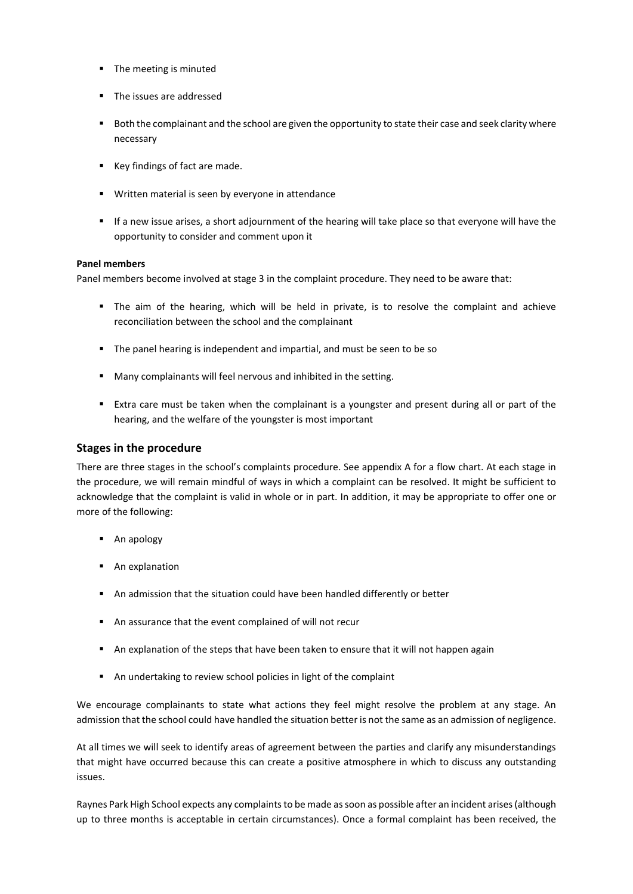- **The meeting is minuted**
- The issues are addressed
- Both the complainant and the school are given the opportunity to state their case and seek clarity where necessary
- Key findings of fact are made.
- **Written material is seen by everyone in attendance**
- If a new issue arises, a short adjournment of the hearing will take place so that everyone will have the opportunity to consider and comment upon it

#### **Panel members**

Panel members become involved at stage 3 in the complaint procedure. They need to be aware that:

- The aim of the hearing, which will be held in private, is to resolve the complaint and achieve reconciliation between the school and the complainant
- The panel hearing is independent and impartial, and must be seen to be so
- Many complainants will feel nervous and inhibited in the setting.
- Extra care must be taken when the complainant is a youngster and present during all or part of the hearing, and the welfare of the youngster is most important

#### **Stages in the procedure**

There are three stages in the school's complaints procedure. See appendix A for a flow chart. At each stage in the procedure, we will remain mindful of ways in which a complaint can be resolved. It might be sufficient to acknowledge that the complaint is valid in whole or in part. In addition, it may be appropriate to offer one or more of the following:

- **An apology**
- **An explanation**
- An admission that the situation could have been handled differently or better
- An assurance that the event complained of will not recur
- An explanation of the steps that have been taken to ensure that it will not happen again
- An undertaking to review school policies in light of the complaint

We encourage complainants to state what actions they feel might resolve the problem at any stage. An admission that the school could have handled the situation better is not the same as an admission of negligence.

At all times we will seek to identify areas of agreement between the parties and clarify any misunderstandings that might have occurred because this can create a positive atmosphere in which to discuss any outstanding issues.

Raynes Park High School expects any complaints to be made as soon as possible after an incident arises (although up to three months is acceptable in certain circumstances). Once a formal complaint has been received, the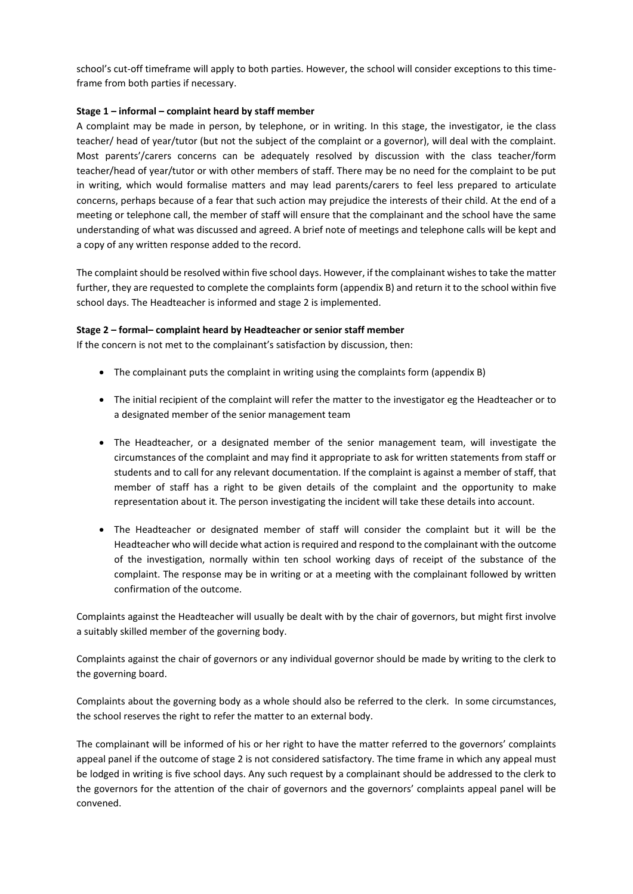school's cut-off timeframe will apply to both parties. However, the school will consider exceptions to this timeframe from both parties if necessary.

#### **Stage 1 – informal – complaint heard by staff member**

A complaint may be made in person, by telephone, or in writing. In this stage, the investigator, ie the class teacher/ head of year/tutor (but not the subject of the complaint or a governor), will deal with the complaint. Most parents'/carers concerns can be adequately resolved by discussion with the class teacher/form teacher/head of year/tutor or with other members of staff. There may be no need for the complaint to be put in writing, which would formalise matters and may lead parents/carers to feel less prepared to articulate concerns, perhaps because of a fear that such action may prejudice the interests of their child. At the end of a meeting or telephone call, the member of staff will ensure that the complainant and the school have the same understanding of what was discussed and agreed. A brief note of meetings and telephone calls will be kept and a copy of any written response added to the record.

The complaint should be resolved within five school days. However, if the complainant wishes to take the matter further, they are requested to complete the complaints form (appendix B) and return it to the school within five school days. The Headteacher is informed and stage 2 is implemented.

#### **Stage 2 – formal– complaint heard by Headteacher or senior staff member**

If the concern is not met to the complainant's satisfaction by discussion, then:

- The complainant puts the complaint in writing using the complaints form (appendix B)
- The initial recipient of the complaint will refer the matter to the investigator eg the Headteacher or to a designated member of the senior management team
- The Headteacher, or a designated member of the senior management team, will investigate the circumstances of the complaint and may find it appropriate to ask for written statements from staff or students and to call for any relevant documentation. If the complaint is against a member of staff, that member of staff has a right to be given details of the complaint and the opportunity to make representation about it. The person investigating the incident will take these details into account.
- The Headteacher or designated member of staff will consider the complaint but it will be the Headteacher who will decide what action is required and respond to the complainant with the outcome of the investigation, normally within ten school working days of receipt of the substance of the complaint. The response may be in writing or at a meeting with the complainant followed by written confirmation of the outcome.

Complaints against the Headteacher will usually be dealt with by the chair of governors, but might first involve a suitably skilled member of the governing body.

Complaints against the chair of governors or any individual governor should be made by writing to the clerk to the governing board.

Complaints about the governing body as a whole should also be referred to the clerk. In some circumstances, the school reserves the right to refer the matter to an external body.

The complainant will be informed of his or her right to have the matter referred to the governors' complaints appeal panel if the outcome of stage 2 is not considered satisfactory. The time frame in which any appeal must be lodged in writing is five school days. Any such request by a complainant should be addressed to the clerk to the governors for the attention of the chair of governors and the governors' complaints appeal panel will be convened.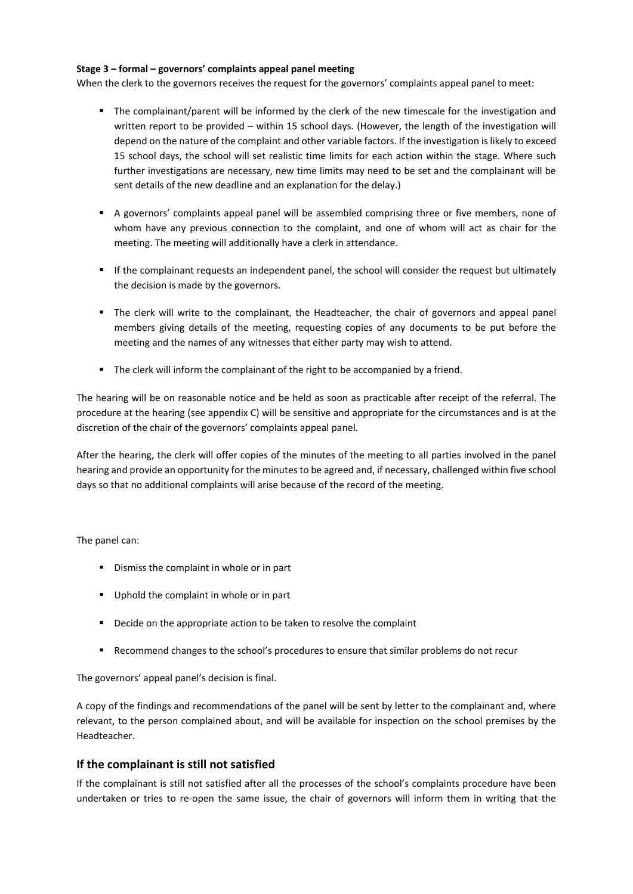#### **Stage 3 – formal – governors' complaints appeal panel meeting**

When the clerk to the governors receives the request for the governors' complaints appeal panel to meet:

- The complainant/parent will be informed by the clerk of the new timescale for the investigation and written report to be provided – within 15 school days. (However, the length of the investigation will depend on the nature of the complaint and other variable factors. If the investigation is likely to exceed 15 school days, the school will set realistic time limits for each action within the stage. Where such further investigations are necessary, new time limits may need to be set and the complainant will be sent details of the new deadline and an explanation for the delay.)
- A governors' complaints appeal panel will be assembled comprising three or five members, none of whom have any previous connection to the complaint, and one of whom will act as chair for the meeting. The meeting will additionally have a clerk in attendance.
- If the complainant requests an independent panel, the school will consider the request but ultimately the decision is made by the governors.
- The clerk will write to the complainant, the Headteacher, the chair of governors and appeal panel members giving details of the meeting, requesting copies of any documents to be put before the meeting and the names of any witnesses that either party may wish to attend.
- The clerk will inform the complainant of the right to be accompanied by a friend.

The hearing will be on reasonable notice and be held as soon as practicable after receipt of the referral. The procedure at the hearing (see appendix C) will be sensitive and appropriate for the circumstances and is at the discretion of the chair of the governors' complaints appeal panel.

After the hearing, the clerk will offer copies of the minutes of the meeting to all parties involved in the panel hearing and provide an opportunity for the minutes to be agreed and, if necessary, challenged within five school days so that no additional complaints will arise because of the record of the meeting.

The panel can:

- **•** Dismiss the complaint in whole or in part
- Uphold the complaint in whole or in part
- **•** Decide on the appropriate action to be taken to resolve the complaint
- **Recommend changes to the school's procedures to ensure that similar problems do not recur**

The governors' appeal panel's decision is final.

A copy of the findings and recommendations of the panel will be sent by letter to the complainant and, where relevant, to the person complained about, and will be available for inspection on the school premises by the Headteacher.

# **If the complainant is still not satisfied**

If the complainant is still not satisfied after all the processes of the school's complaints procedure have been undertaken or tries to re-open the same issue, the chair of governors will inform them in writing that the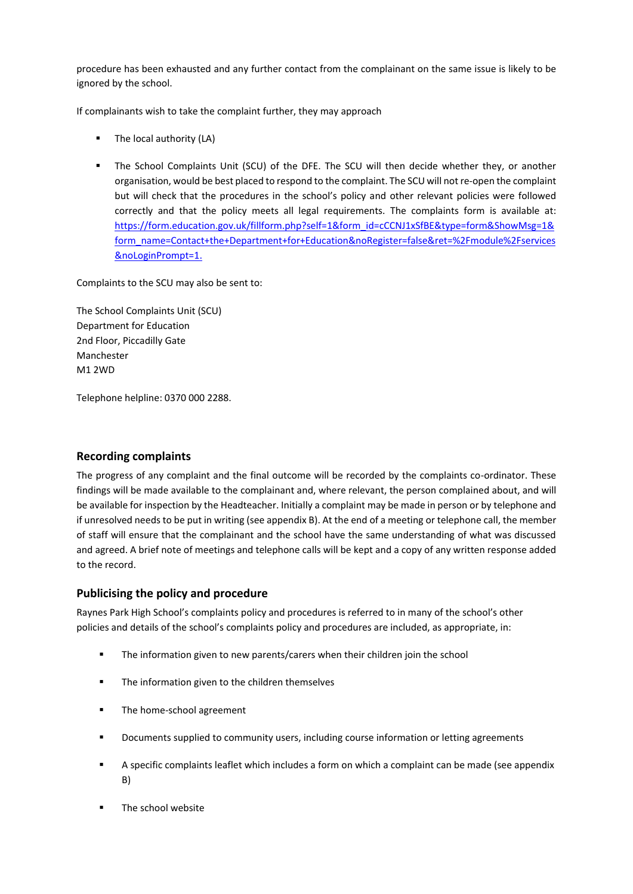procedure has been exhausted and any further contact from the complainant on the same issue is likely to be ignored by the school.

If complainants wish to take the complaint further, they may approach

- The local authority (LA)
- The School Complaints Unit (SCU) of the DFE. The SCU will then decide whether they, or another organisation, would be best placed to respond to the complaint. The SCU will not re-open the complaint but will check that the procedures in the school's policy and other relevant policies were followed correctly and that the policy meets all legal requirements. The complaints form is available at: [https://form.education.gov.uk/fillform.php?self=1&form\\_id=cCCNJ1xSfBE&type=form&ShowMsg=1&](https://form.education.gov.uk/fillform.php?self=1&form_id=cCCNJ1xSfBE&type=form&ShowMsg=1&form_name=Contact+the+Department+for+Education&noRegister=false&ret=%2Fmodule%2Fservices&noLoginPrompt=1) [form\\_name=Contact+the+Department+for+Education&noRegister=false&ret=%2Fmodule%2Fservices](https://form.education.gov.uk/fillform.php?self=1&form_id=cCCNJ1xSfBE&type=form&ShowMsg=1&form_name=Contact+the+Department+for+Education&noRegister=false&ret=%2Fmodule%2Fservices&noLoginPrompt=1) [&noLoginPrompt=1.](https://form.education.gov.uk/fillform.php?self=1&form_id=cCCNJ1xSfBE&type=form&ShowMsg=1&form_name=Contact+the+Department+for+Education&noRegister=false&ret=%2Fmodule%2Fservices&noLoginPrompt=1)

Complaints to the SCU may also be sent to:

The School Complaints Unit (SCU) Department for Education 2nd Floor, Piccadilly Gate Manchester M1 2WD

Telephone helpline: 0370 000 2288.

# **Recording complaints**

The progress of any complaint and the final outcome will be recorded by the complaints co-ordinator. These findings will be made available to the complainant and, where relevant, the person complained about, and will be available for inspection by the Headteacher. Initially a complaint may be made in person or by telephone and if unresolved needs to be put in writing (see appendix B). At the end of a meeting or telephone call, the member of staff will ensure that the complainant and the school have the same understanding of what was discussed and agreed. A brief note of meetings and telephone calls will be kept and a copy of any written response added to the record.

# **Publicising the policy and procedure**

Raynes Park High School's complaints policy and procedures is referred to in many of the school's other policies and details of the school's complaints policy and procedures are included, as appropriate, in:

- The information given to new parents/carers when their children join the school
- The information given to the children themselves
- The home-school agreement
- **•** Documents supplied to community users, including course information or letting agreements
- A specific complaints leaflet which includes a form on which a complaint can be made (see appendix B)
- The school website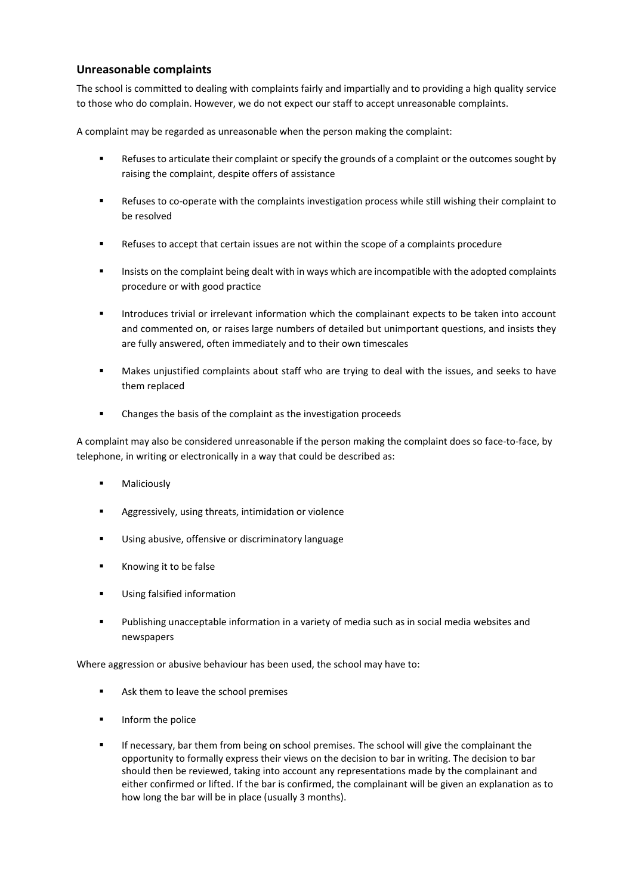# **Unreasonable complaints**

The school is committed to dealing with complaints fairly and impartially and to providing a high quality service to those who do complain. However, we do not expect our staff to accept unreasonable complaints.

A complaint may be regarded as unreasonable when the person making the complaint:

- Refuses to articulate their complaint or specify the grounds of a complaint or the outcomes sought by raising the complaint, despite offers of assistance
- Refuses to co-operate with the complaints investigation process while still wishing their complaint to be resolved
- Refuses to accept that certain issues are not within the scope of a complaints procedure
- Insists on the complaint being dealt with in ways which are incompatible with the adopted complaints procedure or with good practice
- **Introduces trivial or irrelevant information which the complainant expects to be taken into account** and commented on, or raises large numbers of detailed but unimportant questions, and insists they are fully answered, often immediately and to their own timescales
- **Makes unjustified complaints about staff who are trying to deal with the issues, and seeks to have** them replaced
- Changes the basis of the complaint as the investigation proceeds

A complaint may also be considered unreasonable if the person making the complaint does so face-to-face, by telephone, in writing or electronically in a way that could be described as:

- Maliciously
- **Aggressively, using threats, intimidation or violence**
- Using abusive, offensive or discriminatory language
- Knowing it to be false
- **Using falsified information**
- Publishing unacceptable information in a variety of media such as in social media websites and newspapers

Where aggression or abusive behaviour has been used, the school may have to:

- Ask them to leave the school premises
- **Inform the police**
- If necessary, bar them from being on school premises. The school will give the complainant the opportunity to formally express their views on the decision to bar in writing. The decision to bar should then be reviewed, taking into account any representations made by the complainant and either confirmed or lifted. If the bar is confirmed, the complainant will be given an explanation as to how long the bar will be in place (usually 3 months).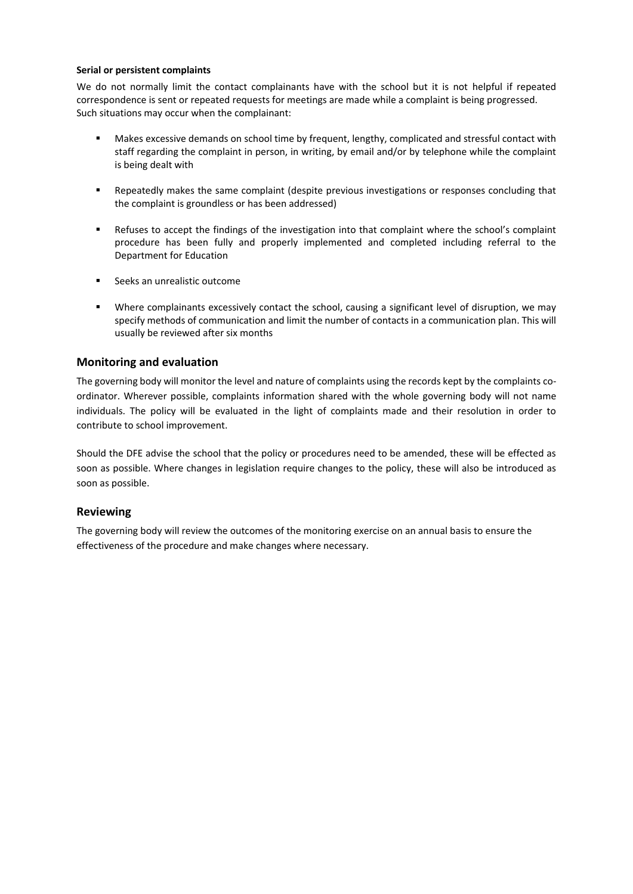#### **Serial or persistent complaints**

We do not normally limit the contact complainants have with the school but it is not helpful if repeated correspondence is sent or repeated requests for meetings are made while a complaint is being progressed. Such situations may occur when the complainant:

- **Makes excessive demands on school time by frequent, lengthy, complicated and stressful contact with** staff regarding the complaint in person, in writing, by email and/or by telephone while the complaint is being dealt with
- Repeatedly makes the same complaint (despite previous investigations or responses concluding that the complaint is groundless or has been addressed)
- Refuses to accept the findings of the investigation into that complaint where the school's complaint procedure has been fully and properly implemented and completed including referral to the Department for Education
- Seeks an unrealistic outcome
- Where complainants excessively contact the school, causing a significant level of disruption, we may specify methods of communication and limit the number of contacts in a communication plan. This will usually be reviewed after six months

# **Monitoring and evaluation**

The governing body will monitor the level and nature of complaints using the records kept by the complaints coordinator. Wherever possible, complaints information shared with the whole governing body will not name individuals. The policy will be evaluated in the light of complaints made and their resolution in order to contribute to school improvement.

Should the DFE advise the school that the policy or procedures need to be amended, these will be effected as soon as possible. Where changes in legislation require changes to the policy, these will also be introduced as soon as possible.

# **Reviewing**

The governing body will review the outcomes of the monitoring exercise on an annual basis to ensure the effectiveness of the procedure and make changes where necessary.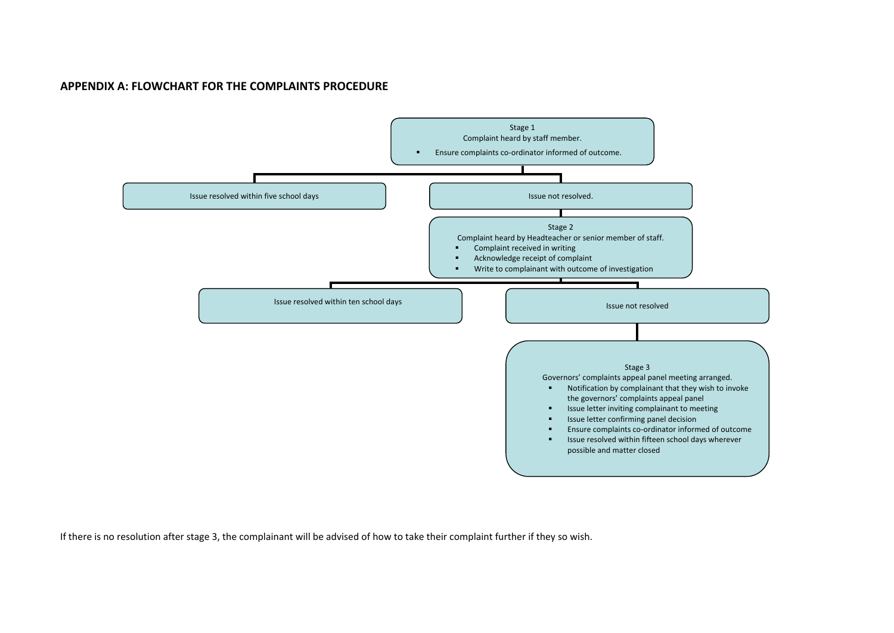# **APPENDIX A: FLOWCHART FOR THE COMPLAINTS PROCEDURE**



If there is no resolution after stage 3, the complainant will be advised of how to take their complaint further if they so wish.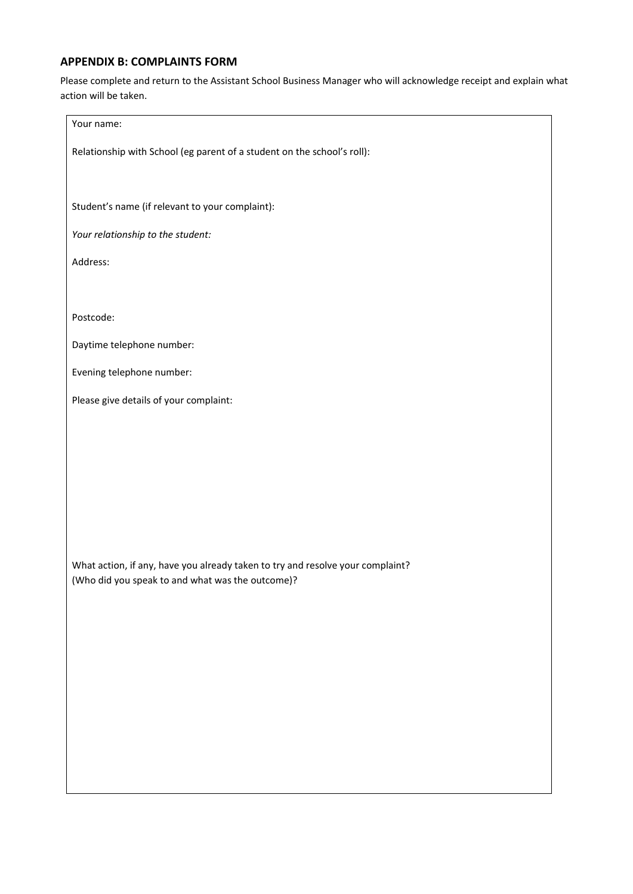# **APPENDIX B: COMPLAINTS FORM**

Please complete and return to the Assistant School Business Manager who will acknowledge receipt and explain what action will be taken.

| Your name:                                                                     |  |  |  |  |
|--------------------------------------------------------------------------------|--|--|--|--|
| Relationship with School (eg parent of a student on the school's roll):        |  |  |  |  |
| Student's name (if relevant to your complaint):                                |  |  |  |  |
| Your relationship to the student:                                              |  |  |  |  |
| Address:                                                                       |  |  |  |  |
|                                                                                |  |  |  |  |
| Postcode:                                                                      |  |  |  |  |
| Daytime telephone number:                                                      |  |  |  |  |
| Evening telephone number:                                                      |  |  |  |  |
| Please give details of your complaint:                                         |  |  |  |  |
|                                                                                |  |  |  |  |
|                                                                                |  |  |  |  |
|                                                                                |  |  |  |  |
|                                                                                |  |  |  |  |
| What action, if any, have you already taken to try and resolve your complaint? |  |  |  |  |
| (Who did you speak to and what was the outcome)?                               |  |  |  |  |
|                                                                                |  |  |  |  |
|                                                                                |  |  |  |  |
|                                                                                |  |  |  |  |
|                                                                                |  |  |  |  |
|                                                                                |  |  |  |  |
|                                                                                |  |  |  |  |
|                                                                                |  |  |  |  |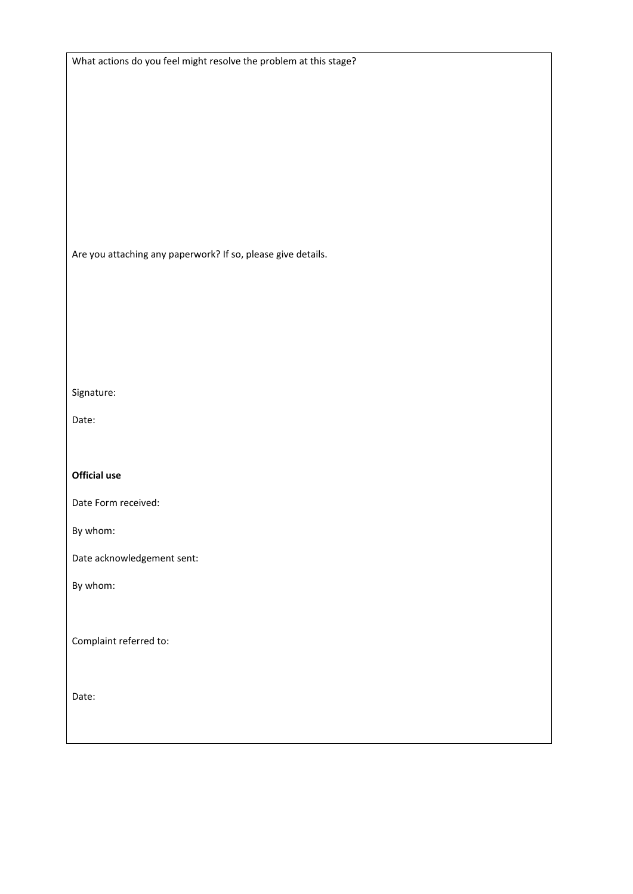|  | What actions do you feel might resolve the problem at this stage? |  |  |
|--|-------------------------------------------------------------------|--|--|
|--|-------------------------------------------------------------------|--|--|

Are you attaching any paperwork? If so, please give details.

Signature:

Date:

**Official use**

Date Form received:

By whom:

Date acknowledgement sent:

By whom:

Complaint referred to:

Date: